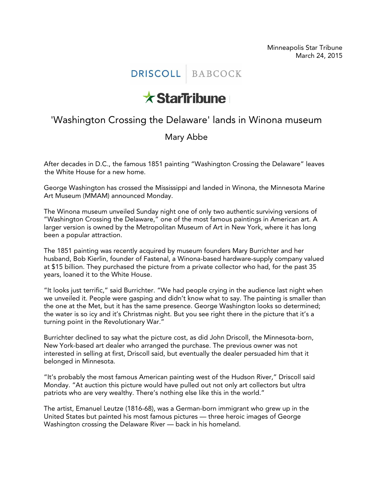## DRISCOLL BABCOCK

## **x StarTribune**

## 'Washington Crossing the Delaware' lands in Winona museum

## Mary Abbe

After decades in D.C., the famous 1851 painting "Washington Crossing the Delaware" leaves the White House for a new home.

George Washington has crossed the Mississippi and landed in Winona, the Minnesota Marine Art Museum (MMAM) announced Monday.

The Winona museum unveiled Sunday night one of only two authentic surviving versions of "Washington Crossing the Delaware," one of the most famous paintings in American art. A larger version is owned by the Metropolitan Museum of Art in New York, where it has long been a popular attraction.

The 1851 painting was recently acquired by museum founders Mary Burrichter and her husband, Bob Kierlin, founder of Fastenal, a Winona-based hardware-supply company valued at \$15 billion. They purchased the picture from a private collector who had, for the past 35 years, loaned it to the White House.

"It looks just terrific," said Burrichter. "We had people crying in the audience last night when we unveiled it. People were gasping and didn't know what to say. The painting is smaller than the one at the Met, but it has the same presence. George Washington looks so determined; the water is so icy and it's Christmas night. But you see right there in the picture that it's a turning point in the Revolutionary War."

Burrichter declined to say what the picture cost, as did John Driscoll, the Minnesota-born, New York-based art dealer who arranged the purchase. The previous owner was not interested in selling at first, Driscoll said, but eventually the dealer persuaded him that it belonged in Minnesota.

"It's probably the most famous American painting west of the Hudson River," Driscoll said Monday. "At auction this picture would have pulled out not only art collectors but ultra patriots who are very wealthy. There's nothing else like this in the world."

The artist, Emanuel Leutze (1816-68), was a German-born immigrant who grew up in the United States but painted his most famous pictures — three heroic images of George Washington crossing the Delaware River — back in his homeland.